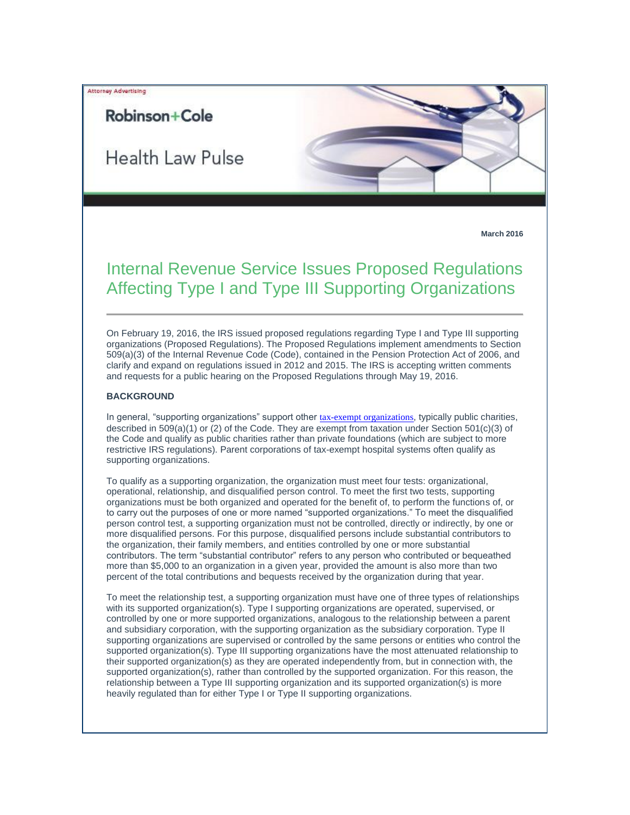## Attorney Advertising

# **Robinson+Cole**

Health Law Pulse



# Internal Revenue Service Issues Proposed Regulations Affecting Type I and Type III Supporting Organizations

On February 19, 2016, the IRS issued proposed regulations regarding Type I and Type III supporting organizations (Proposed Regulations). The Proposed Regulations implement amendments to Section 509(a)(3) of the Internal Revenue Code (Code), contained in the Pension Protection Act of 2006, and clarify and expand on regulations issued in 2012 and 2015. The IRS is accepting written comments and requests for a public hearing on the Proposed Regulations through May 19, 2016.

#### **BACKGROUND**

In general, "supporting organizations" support other [tax-exempt organizations](http://t2806904.omkt.co/track.aspx?id=402|2AD478|6F10|54A3|FA1|0|1B09|1|2108F7E9&destination=http%3a%2f%2fwww.rc.com%2fpractices%2fTaxNonprofitOrganizations%2fNonprofitOrganizations%2findex.cfm%3futm_source%3dVocus%26utm_medium%3demail%26utm_campaign%3dRobinson%2b%2526%2bCole%2bLLP%26utm_content%3dBHC%2b%2bPulse%2b%2b31016&dchk=55240D76), typically public charities, described in 509(a)(1) or (2) of the Code. They are exempt from taxation under Section 501(c)(3) of the Code and qualify as public charities rather than private foundations (which are subject to more restrictive IRS regulations). Parent corporations of tax-exempt hospital systems often qualify as supporting organizations.

To qualify as a supporting organization, the organization must meet four tests: organizational, operational, relationship, and disqualified person control. To meet the first two tests, supporting organizations must be both organized and operated for the benefit of, to perform the functions of, or to carry out the purposes of one or more named "supported organizations." To meet the disqualified person control test, a supporting organization must not be controlled, directly or indirectly, by one or more disqualified persons. For this purpose, disqualified persons include substantial contributors to the organization, their family members, and entities controlled by one or more substantial contributors. The term "substantial contributor" refers to any person who contributed or bequeathed more than \$5,000 to an organization in a given year, provided the amount is also more than two percent of the total contributions and bequests received by the organization during that year.

To meet the relationship test, a supporting organization must have one of three types of relationships with its supported organization(s). Type I supporting organizations are operated, supervised, or controlled by one or more supported organizations, analogous to the relationship between a parent and subsidiary corporation, with the supporting organization as the subsidiary corporation. Type II supporting organizations are supervised or controlled by the same persons or entities who control the supported organization(s). Type III supporting organizations have the most attenuated relationship to their supported organization(s) as they are operated independently from, but in connection with, the supported organization(s), rather than controlled by the supported organization. For this reason, the relationship between a Type III supporting organization and its supported organization(s) is more heavily regulated than for either Type I or Type II supporting organizations.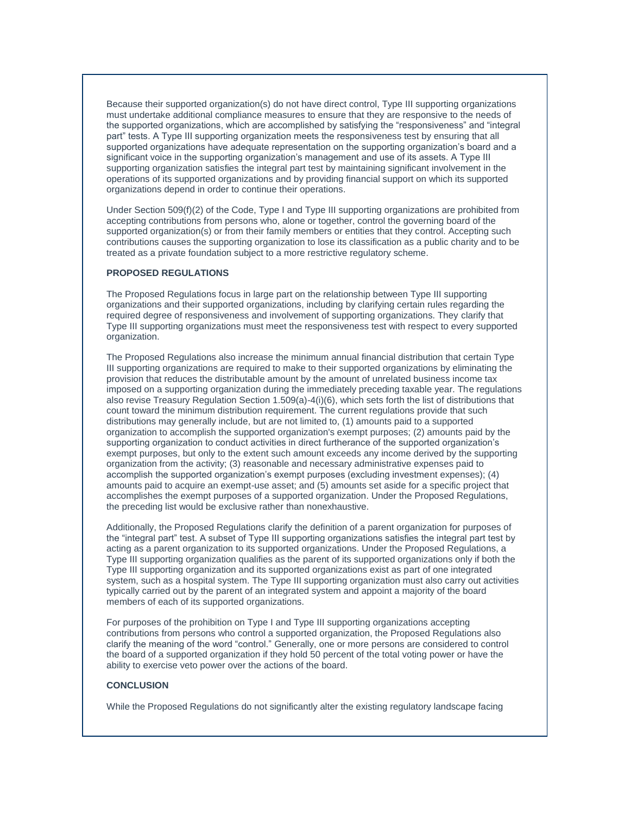Because their supported organization(s) do not have direct control, Type III supporting organizations must undertake additional compliance measures to ensure that they are responsive to the needs of the supported organizations, which are accomplished by satisfying the "responsiveness" and "integral part" tests. A Type III supporting organization meets the responsiveness test by ensuring that all supported organizations have adequate representation on the supporting organization's board and a significant voice in the supporting organization's management and use of its assets. A Type III supporting organization satisfies the integral part test by maintaining significant involvement in the operations of its supported organizations and by providing financial support on which its supported organizations depend in order to continue their operations.

Under Section 509(f)(2) of the Code, Type I and Type III supporting organizations are prohibited from accepting contributions from persons who, alone or together, control the governing board of the supported organization(s) or from their family members or entities that they control. Accepting such contributions causes the supporting organization to lose its classification as a public charity and to be treated as a private foundation subject to a more restrictive regulatory scheme.

### **PROPOSED REGULATIONS**

The Proposed Regulations focus in large part on the relationship between Type III supporting organizations and their supported organizations, including by clarifying certain rules regarding the required degree of responsiveness and involvement of supporting organizations. They clarify that Type III supporting organizations must meet the responsiveness test with respect to every supported organization.

The Proposed Regulations also increase the minimum annual financial distribution that certain Type III supporting organizations are required to make to their supported organizations by eliminating the provision that reduces the distributable amount by the amount of unrelated business income tax imposed on a supporting organization during the immediately preceding taxable year. The regulations also revise Treasury Regulation Section 1.509(a)-4(i)(6), which sets forth the list of distributions that count toward the minimum distribution requirement. The current regulations provide that such distributions may generally include, but are not limited to, (1) amounts paid to a supported organization to accomplish the supported organization's exempt purposes; (2) amounts paid by the supporting organization to conduct activities in direct furtherance of the supported organization's exempt purposes, but only to the extent such amount exceeds any income derived by the supporting organization from the activity; (3) reasonable and necessary administrative expenses paid to accomplish the supported organization's exempt purposes (excluding investment expenses); (4) amounts paid to acquire an exempt-use asset; and (5) amounts set aside for a specific project that accomplishes the exempt purposes of a supported organization. Under the Proposed Regulations, the preceding list would be exclusive rather than nonexhaustive.

Additionally, the Proposed Regulations clarify the definition of a parent organization for purposes of the "integral part" test. A subset of Type III supporting organizations satisfies the integral part test by acting as a parent organization to its supported organizations. Under the Proposed Regulations, a Type III supporting organization qualifies as the parent of its supported organizations only if both the Type III supporting organization and its supported organizations exist as part of one integrated system, such as a hospital system. The Type III supporting organization must also carry out activities typically carried out by the parent of an integrated system and appoint a majority of the board members of each of its supported organizations.

For purposes of the prohibition on Type I and Type III supporting organizations accepting contributions from persons who control a supported organization, the Proposed Regulations also clarify the meaning of the word "control." Generally, one or more persons are considered to control the board of a supported organization if they hold 50 percent of the total voting power or have the ability to exercise veto power over the actions of the board.

### **CONCLUSION**

While the Proposed Regulations do not significantly alter the existing regulatory landscape facing